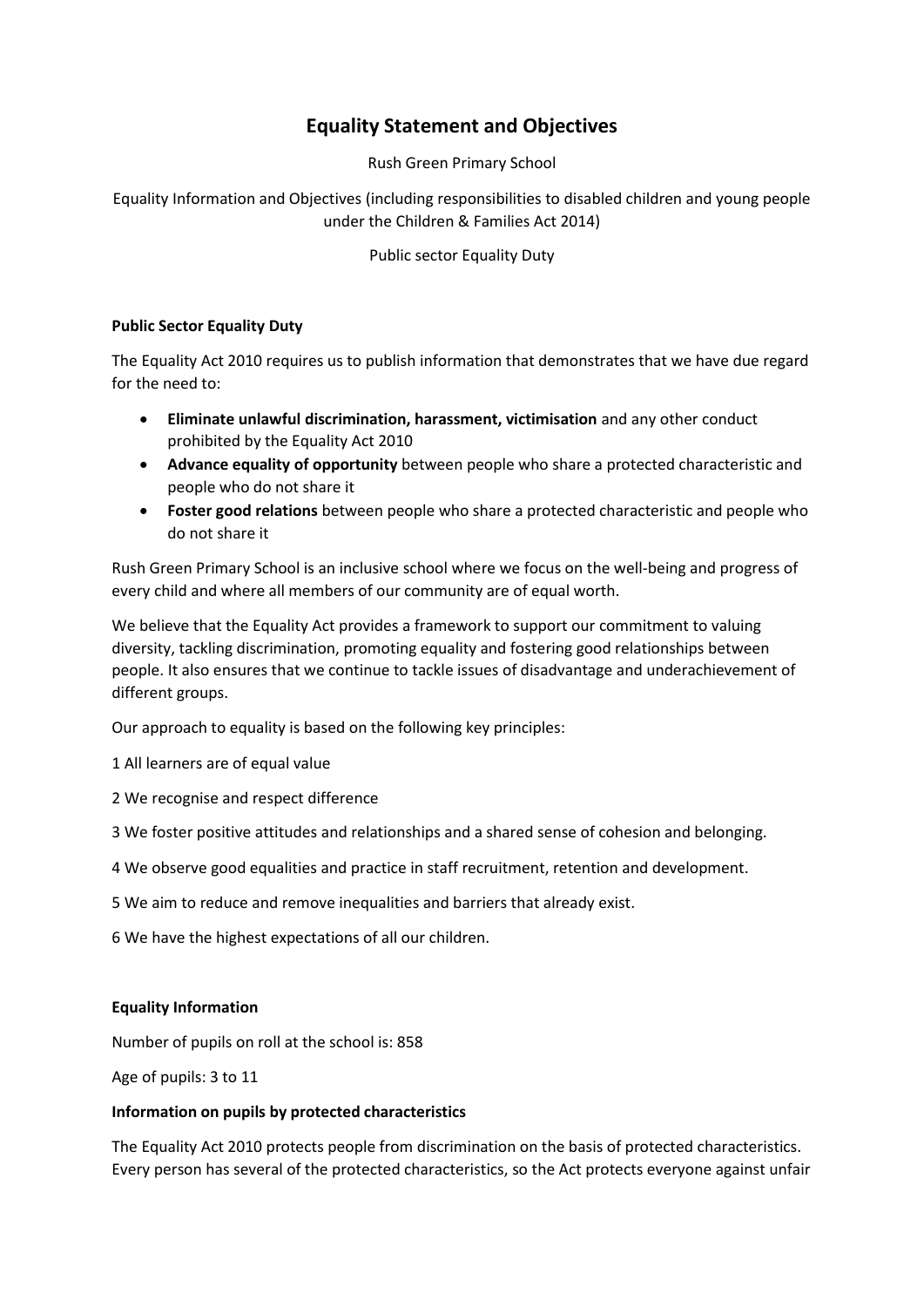# **Equality Statement and Objectives**

Rush Green Primary School

Equality Information and Objectives (including responsibilities to disabled children and young people under the Children & Families Act 2014)

Public sector Equality Duty

### **Public Sector Equality Duty**

The Equality Act 2010 requires us to publish information that demonstrates that we have due regard for the need to:

- **Eliminate unlawful discrimination, harassment, victimisation** and any other conduct prohibited by the Equality Act 2010
- **Advance equality of opportunity** between people who share a protected characteristic and people who do not share it
- **Foster good relations** between people who share a protected characteristic and people who do not share it

Rush Green Primary School is an inclusive school where we focus on the well-being and progress of every child and where all members of our community are of equal worth.

We believe that the Equality Act provides a framework to support our commitment to valuing diversity, tackling discrimination, promoting equality and fostering good relationships between people. It also ensures that we continue to tackle issues of disadvantage and underachievement of different groups.

Our approach to equality is based on the following key principles:

1 All learners are of equal value

2 We recognise and respect difference

3 We foster positive attitudes and relationships and a shared sense of cohesion and belonging.

- 4 We observe good equalities and practice in staff recruitment, retention and development.
- 5 We aim to reduce and remove inequalities and barriers that already exist.

6 We have the highest expectations of all our children.

#### **Equality Information**

Number of pupils on roll at the school is: 858

Age of pupils: 3 to 11

#### **Information on pupils by protected characteristics**

The Equality Act 2010 protects people from discrimination on the basis of protected characteristics. Every person has several of the protected characteristics, so the Act protects everyone against unfair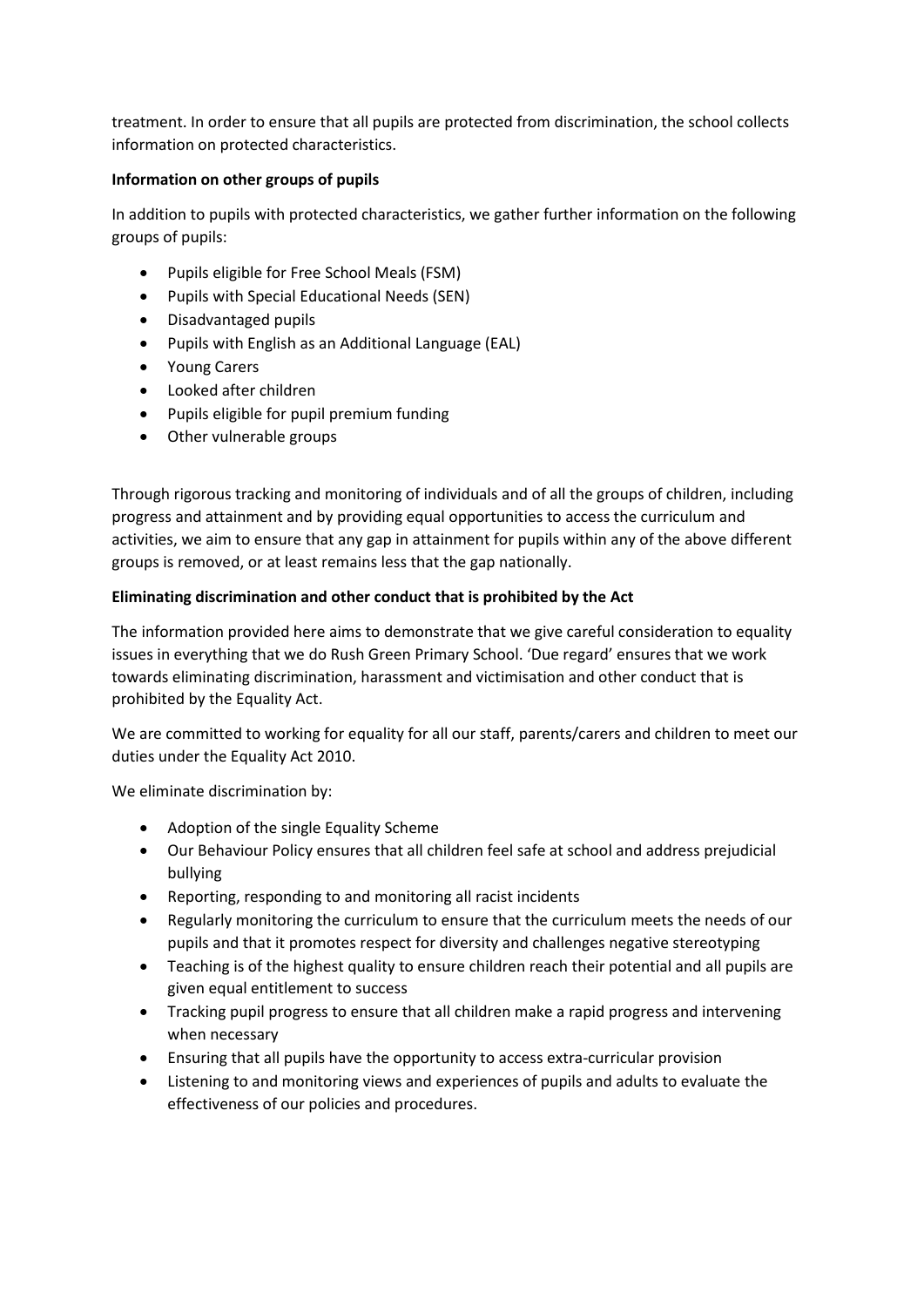treatment. In order to ensure that all pupils are protected from discrimination, the school collects information on protected characteristics.

## **Information on other groups of pupils**

In addition to pupils with protected characteristics, we gather further information on the following groups of pupils:

- Pupils eligible for Free School Meals (FSM)
- Pupils with Special Educational Needs (SEN)
- Disadvantaged pupils
- Pupils with English as an Additional Language (EAL)
- Young Carers
- Looked after children
- Pupils eligible for pupil premium funding
- Other vulnerable groups

Through rigorous tracking and monitoring of individuals and of all the groups of children, including progress and attainment and by providing equal opportunities to access the curriculum and activities, we aim to ensure that any gap in attainment for pupils within any of the above different groups is removed, or at least remains less that the gap nationally.

# **Eliminating discrimination and other conduct that is prohibited by the Act**

The information provided here aims to demonstrate that we give careful consideration to equality issues in everything that we do Rush Green Primary School. 'Due regard' ensures that we work towards eliminating discrimination, harassment and victimisation and other conduct that is prohibited by the Equality Act.

We are committed to working for equality for all our staff, parents/carers and children to meet our duties under the Equality Act 2010.

We eliminate discrimination by:

- Adoption of the single Equality Scheme
- Our Behaviour Policy ensures that all children feel safe at school and address prejudicial bullying
- Reporting, responding to and monitoring all racist incidents
- Regularly monitoring the curriculum to ensure that the curriculum meets the needs of our pupils and that it promotes respect for diversity and challenges negative stereotyping
- Teaching is of the highest quality to ensure children reach their potential and all pupils are given equal entitlement to success
- Tracking pupil progress to ensure that all children make a rapid progress and intervening when necessary
- Ensuring that all pupils have the opportunity to access extra-curricular provision
- Listening to and monitoring views and experiences of pupils and adults to evaluate the effectiveness of our policies and procedures.